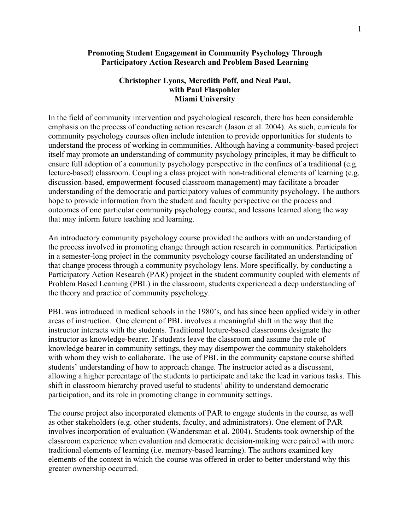## **Promoting Student Engagement in Community Psychology Through Participatory Action Research and Problem Based Learning**

# **Christopher Lyons, Meredith Poff, and Neal Paul, with Paul Flaspohler Miami University**

In the field of community intervention and psychological research, there has been considerable emphasis on the process of conducting action research (Jason et al. 2004). As such, curricula for community psychology courses often include intention to provide opportunities for students to understand the process of working in communities. Although having a community-based project itself may promote an understanding of community psychology principles, it may be difficult to ensure full adoption of a community psychology perspective in the confines of a traditional (e.g. lecture-based) classroom. Coupling a class project with non-traditional elements of learning (e.g. discussion-based, empowerment-focused classroom management) may facilitate a broader understanding of the democratic and participatory values of community psychology. The authors hope to provide information from the student and faculty perspective on the process and outcomes of one particular community psychology course, and lessons learned along the way that may inform future teaching and learning.

An introductory community psychology course provided the authors with an understanding of the process involved in promoting change through action research in communities. Participation in a semester-long project in the community psychology course facilitated an understanding of that change process through a community psychology lens. More specifically, by conducting a Participatory Action Research (PAR) project in the student community coupled with elements of Problem Based Learning (PBL) in the classroom, students experienced a deep understanding of the theory and practice of community psychology.

PBL was introduced in medical schools in the 1980's, and has since been applied widely in other areas of instruction. One element of PBL involves a meaningful shift in the way that the instructor interacts with the students. Traditional lecture-based classrooms designate the instructor as knowledge-bearer. If students leave the classroom and assume the role of knowledge bearer in community settings, they may disempower the community stakeholders with whom they wish to collaborate. The use of PBL in the community capstone course shifted students' understanding of how to approach change. The instructor acted as a discussant, allowing a higher percentage of the students to participate and take the lead in various tasks. This shift in classroom hierarchy proved useful to students' ability to understand democratic participation, and its role in promoting change in community settings.

The course project also incorporated elements of PAR to engage students in the course, as well as other stakeholders (e.g. other students, faculty, and administrators). One element of PAR involves incorporation of evaluation (Wandersman et al. 2004). Students took ownership of the classroom experience when evaluation and democratic decision-making were paired with more traditional elements of learning (i.e. memory-based learning). The authors examined key elements of the context in which the course was offered in order to better understand why this greater ownership occurred.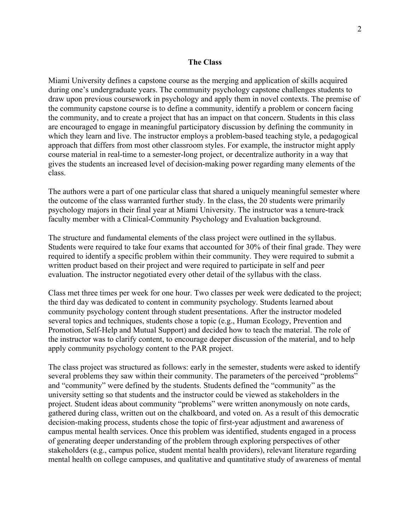#### **The Class**

Miami University defines a capstone course as the merging and application of skills acquired during one's undergraduate years. The community psychology capstone challenges students to draw upon previous coursework in psychology and apply them in novel contexts. The premise of the community capstone course is to define a community, identify a problem or concern facing the community, and to create a project that has an impact on that concern. Students in this class are encouraged to engage in meaningful participatory discussion by defining the community in which they learn and live. The instructor employs a problem-based teaching style, a pedagogical approach that differs from most other classroom styles. For example, the instructor might apply course material in real-time to a semester-long project, or decentralize authority in a way that gives the students an increased level of decision-making power regarding many elements of the class.

The authors were a part of one particular class that shared a uniquely meaningful semester where the outcome of the class warranted further study. In the class, the 20 students were primarily psychology majors in their final year at Miami University. The instructor was a tenure-track faculty member with a Clinical-Community Psychology and Evaluation background.

The structure and fundamental elements of the class project were outlined in the syllabus. Students were required to take four exams that accounted for 30% of their final grade. They were required to identify a specific problem within their community. They were required to submit a written product based on their project and were required to participate in self and peer evaluation. The instructor negotiated every other detail of the syllabus with the class.

Class met three times per week for one hour. Two classes per week were dedicated to the project; the third day was dedicated to content in community psychology. Students learned about community psychology content through student presentations. After the instructor modeled several topics and techniques, students chose a topic (e.g., Human Ecology, Prevention and Promotion, Self-Help and Mutual Support) and decided how to teach the material. The role of the instructor was to clarify content, to encourage deeper discussion of the material, and to help apply community psychology content to the PAR project.

The class project was structured as follows: early in the semester, students were asked to identify several problems they saw within their community. The parameters of the perceived "problems" and "community" were defined by the students. Students defined the "community" as the university setting so that students and the instructor could be viewed as stakeholders in the project. Student ideas about community "problems" were written anonymously on note cards, gathered during class, written out on the chalkboard, and voted on. As a result of this democratic decision-making process, students chose the topic of first-year adjustment and awareness of campus mental health services. Once this problem was identified, students engaged in a process of generating deeper understanding of the problem through exploring perspectives of other stakeholders (e.g., campus police, student mental health providers), relevant literature regarding mental health on college campuses, and qualitative and quantitative study of awareness of mental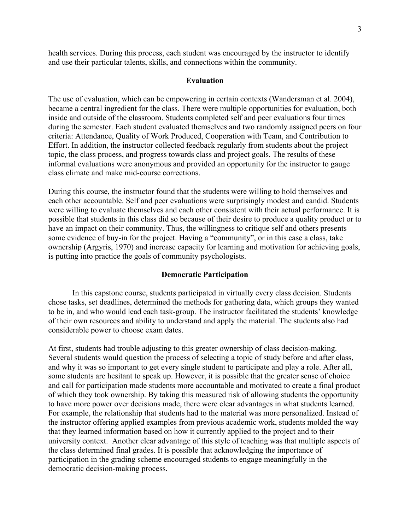health services. During this process, each student was encouraged by the instructor to identify and use their particular talents, skills, and connections within the community.

#### **Evaluation**

The use of evaluation, which can be empowering in certain contexts (Wandersman et al. 2004), became a central ingredient for the class. There were multiple opportunities for evaluation, both inside and outside of the classroom. Students completed self and peer evaluations four times during the semester. Each student evaluated themselves and two randomly assigned peers on four criteria: Attendance, Quality of Work Produced, Cooperation with Team, and Contribution to Effort. In addition, the instructor collected feedback regularly from students about the project topic, the class process, and progress towards class and project goals. The results of these informal evaluations were anonymous and provided an opportunity for the instructor to gauge class climate and make mid-course corrections.

During this course, the instructor found that the students were willing to hold themselves and each other accountable. Self and peer evaluations were surprisingly modest and candid. Students were willing to evaluate themselves and each other consistent with their actual performance. It is possible that students in this class did so because of their desire to produce a quality product or to have an impact on their community. Thus, the willingness to critique self and others presents some evidence of buy-in for the project. Having a "community", or in this case a class, take ownership (Argyris, 1970) and increase capacity for learning and motivation for achieving goals, is putting into practice the goals of community psychologists.

#### **Democratic Participation**

In this capstone course, students participated in virtually every class decision. Students chose tasks, set deadlines, determined the methods for gathering data, which groups they wanted to be in, and who would lead each task-group. The instructor facilitated the students' knowledge of their own resources and ability to understand and apply the material. The students also had considerable power to choose exam dates.

At first, students had trouble adjusting to this greater ownership of class decision-making. Several students would question the process of selecting a topic of study before and after class, and why it was so important to get every single student to participate and play a role. After all, some students are hesitant to speak up. However, it is possible that the greater sense of choice and call for participation made students more accountable and motivated to create a final product of which they took ownership. By taking this measured risk of allowing students the opportunity to have more power over decisions made, there were clear advantages in what students learned. For example, the relationship that students had to the material was more personalized. Instead of the instructor offering applied examples from previous academic work, students molded the way that they learned information based on how it currently applied to the project and to their university context. Another clear advantage of this style of teaching was that multiple aspects of the class determined final grades. It is possible that acknowledging the importance of participation in the grading scheme encouraged students to engage meaningfully in the democratic decision-making process.